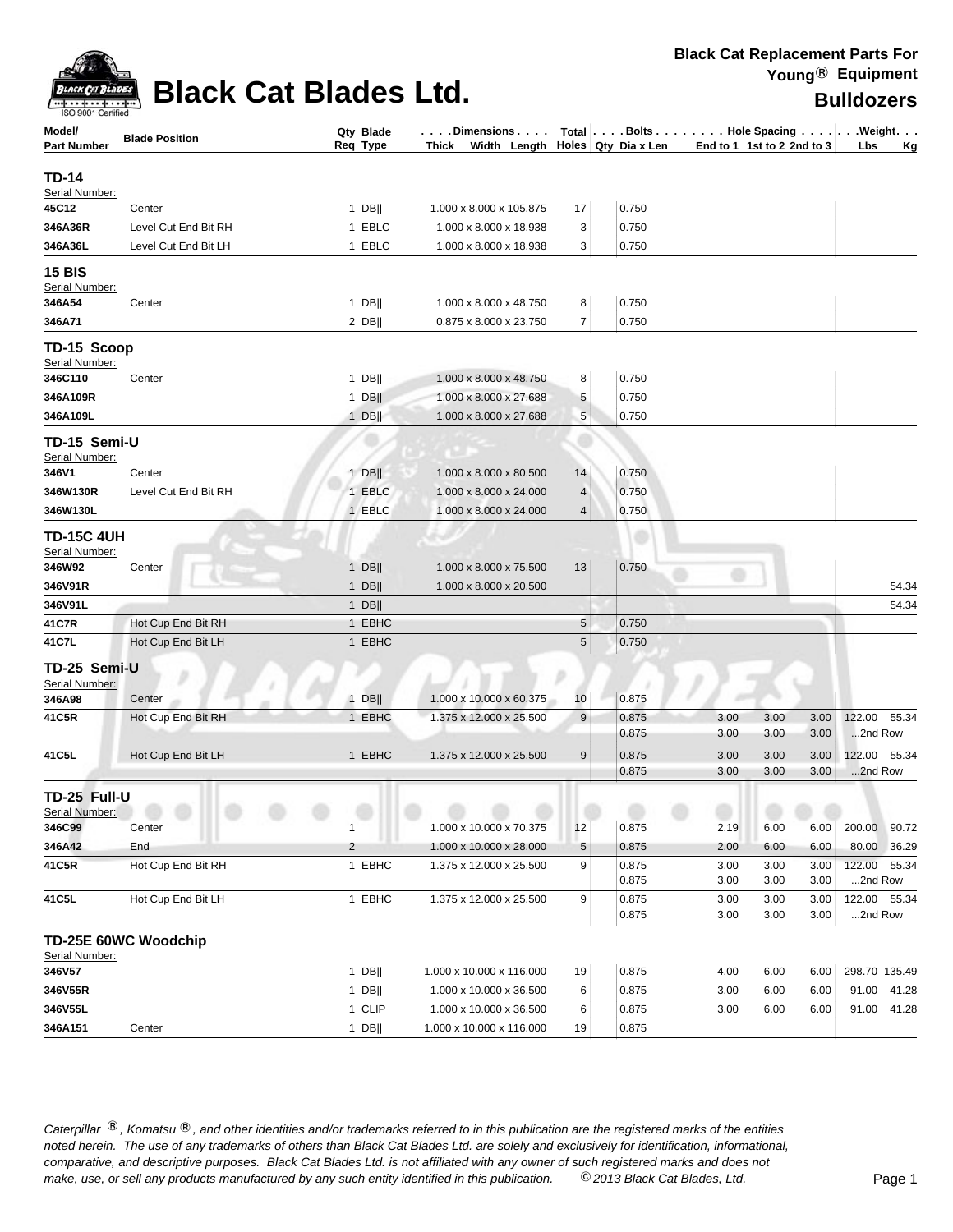

## **Black Cat Blades Ltd. Black Cat Blades Ltd.**

| ISO 9001 Certified                  |                       |                    |                                                  |                |                |                                  |              |              |                         |       |
|-------------------------------------|-----------------------|--------------------|--------------------------------------------------|----------------|----------------|----------------------------------|--------------|--------------|-------------------------|-------|
| Model/                              | <b>Blade Position</b> | Qty Blade          | . Dimensions.                                    |                |                | Total Bolts Hole Spacing Weight. |              |              |                         |       |
| <b>Part Number</b>                  |                       | Req Type           | Thick Width Length Holes Qty Dia x Len           |                |                | End to 1 1st to 2 2nd to 3       |              |              | Lbs                     | Κg    |
| <b>TD-14</b>                        |                       |                    |                                                  |                |                |                                  |              |              |                         |       |
| Serial Number:                      |                       |                    |                                                  |                |                |                                  |              |              |                         |       |
| 45C12                               | Center                | $1$ DB             | 1.000 x 8.000 x 105.875                          | 17             | 0.750          |                                  |              |              |                         |       |
| 346A36R                             | Level Cut End Bit RH  | 1 EBLC             | 1.000 x 8.000 x 18.938                           | 3              | 0.750          |                                  |              |              |                         |       |
| 346A36L                             | Level Cut End Bit LH  | 1 EBLC             | 1.000 x 8.000 x 18.938                           | 3              | 0.750          |                                  |              |              |                         |       |
| <b>15 BIS</b>                       |                       |                    |                                                  |                |                |                                  |              |              |                         |       |
| Serial Number:                      |                       |                    |                                                  |                |                |                                  |              |              |                         |       |
| 346A54                              | Center                | 1 DB               | 1.000 x 8.000 x 48.750                           | 8              | 0.750          |                                  |              |              |                         |       |
| 346A71                              |                       | $2$ DB             | 0.875 x 8.000 x 23.750                           | $\overline{7}$ | 0.750          |                                  |              |              |                         |       |
| TD-15 Scoop                         |                       |                    |                                                  |                |                |                                  |              |              |                         |       |
| Serial Number:<br>346C110           |                       |                    |                                                  |                | 0.750          |                                  |              |              |                         |       |
| 346A109R                            | Center                | $1$ DB  <br>$1$ DB | 1.000 x 8.000 x 48.750<br>1.000 x 8.000 x 27.688 | 8<br>5         | 0.750          |                                  |              |              |                         |       |
| 346A109L                            |                       | $1$ DB             | 1.000 x 8.000 x 27.688                           | 5              | 0.750          |                                  |              |              |                         |       |
|                                     |                       |                    |                                                  |                |                |                                  |              |              |                         |       |
| TD-15 Semi-U                        |                       |                    |                                                  |                |                |                                  |              |              |                         |       |
| Serial Number:<br>346V1             | Center                | $1$ DB             | 1.000 x 8.000 x 80.500                           | 14             | 0.750          |                                  |              |              |                         |       |
| 346W130R                            | Level Cut End Bit RH  | 1 EBLC             | 1.000 x 8.000 x 24.000                           | $\overline{4}$ | 0.750          |                                  |              |              |                         |       |
| 346W130L                            |                       | 1 EBLC             | 1.000 x 8.000 x 24.000                           | 4              | 0.750          |                                  |              |              |                         |       |
|                                     |                       |                    |                                                  |                |                |                                  |              |              |                         |       |
| <b>TD-15C 4UH</b><br>Serial Number: |                       |                    |                                                  |                |                |                                  |              |              |                         |       |
| 346W92                              | Center                | $1$ DB             | 1.000 x 8.000 x 75.500                           | 13             | 0.750          |                                  |              |              |                         |       |
| 346V91R                             |                       | $1$ DB             | 1.000 x 8.000 x 20.500                           |                |                |                                  |              |              |                         | 54.34 |
| 346V91L                             |                       | $1$ DB             |                                                  |                |                |                                  |              |              |                         | 54.34 |
| 41C7R                               | Hot Cup End Bit RH    | 1 EBHC             |                                                  | 5              | 0.750          |                                  |              |              |                         |       |
| 41C7L                               | Hot Cup End Bit LH    | 1 EBHC             |                                                  | 5              | 0.750          |                                  |              |              |                         |       |
| TD-25 Semi-U                        |                       |                    |                                                  |                |                |                                  |              |              |                         |       |
| Serial Number:                      |                       |                    |                                                  |                |                |                                  |              |              |                         |       |
| 346A98                              | Center                | $1$ DB             | 1.000 x 10.000 x 60.375                          | 10             | 0.875          |                                  |              |              |                         |       |
| 41C5R                               | Hot Cup End Bit RH    | 1 EBHC             | 1.375 x 12.000 x 25.500                          | 9              | 0.875          | 3.00                             | 3.00         | 3.00         | 122.00                  | 55.34 |
|                                     |                       |                    |                                                  |                | 0.875          | 3.00                             | 3.00         | 3.00         | 2nd Row                 |       |
| 41C5L                               | Hot Cup End Bit LH    | 1 EBHC             | 1.375 x 12.000 x 25.500                          | 9              | 0.875          | 3.00                             | 3.00         | 3.00         | 122.00                  | 55.34 |
|                                     |                       |                    |                                                  |                | 0.875          | 3.00                             | 3.00         | 3.00         | 2nd Row                 |       |
| TD-25 Full-U                        |                       |                    |                                                  |                |                |                                  |              |              |                         |       |
| Serial Number:                      |                       |                    |                                                  |                |                |                                  |              |              |                         |       |
| 346C99                              | Center                | 1                  | 1.000 x 10.000 x 70.375                          | 12             | 0.875          | 2.19                             | 6.00         | 6.00         | 200.00 90.72            |       |
| 346A42                              | End                   | $\overline{2}$     | 1.000 x 10.000 x 28.000                          | 5              | 0.875          | 2.00                             | 6.00         | 6.00         | 80.00                   | 36.29 |
| 41C5R                               | Hot Cup End Bit RH    | 1 EBHC             | 1.375 x 12.000 x 25.500                          | 9              | 0.875          | 3.00                             | 3.00         | 3.00         | 122.00 55.34            |       |
|                                     | Hot Cup End Bit LH    | 1 EBHC             | 1.375 x 12.000 x 25.500                          | 9              | 0.875          | 3.00<br>3.00                     | 3.00         | 3.00<br>3.00 | 2nd Row<br>122.00 55.34 |       |
| 41C5L                               |                       |                    |                                                  |                | 0.875<br>0.875 | 3.00                             | 3.00<br>3.00 | 3.00         | 2nd Row                 |       |
|                                     |                       |                    |                                                  |                |                |                                  |              |              |                         |       |
| Serial Number:                      | TD-25E 60WC Woodchip  |                    |                                                  |                |                |                                  |              |              |                         |       |
| 346V57                              |                       | $1$ DB             | 1.000 x 10.000 x 116.000                         | 19             | 0.875          | 4.00                             | 6.00         | 6.00         | 298.70 135.49           |       |
| 346V55R                             |                       | $1$ DB             | 1.000 x 10.000 x 36.500                          | 6              | 0.875          | 3.00                             | 6.00         | 6.00         | 91.00                   | 41.28 |
| 346V55L                             |                       | 1 CLIP             | 1.000 x 10.000 x 36.500                          | 6              | 0.875          | 3.00                             | 6.00         | 6.00         | 91.00                   | 41.28 |
| 346A151                             | Center                | $1$ DB             | 1.000 x 10.000 x 116.000                         | 19             | 0.875          |                                  |              |              |                         |       |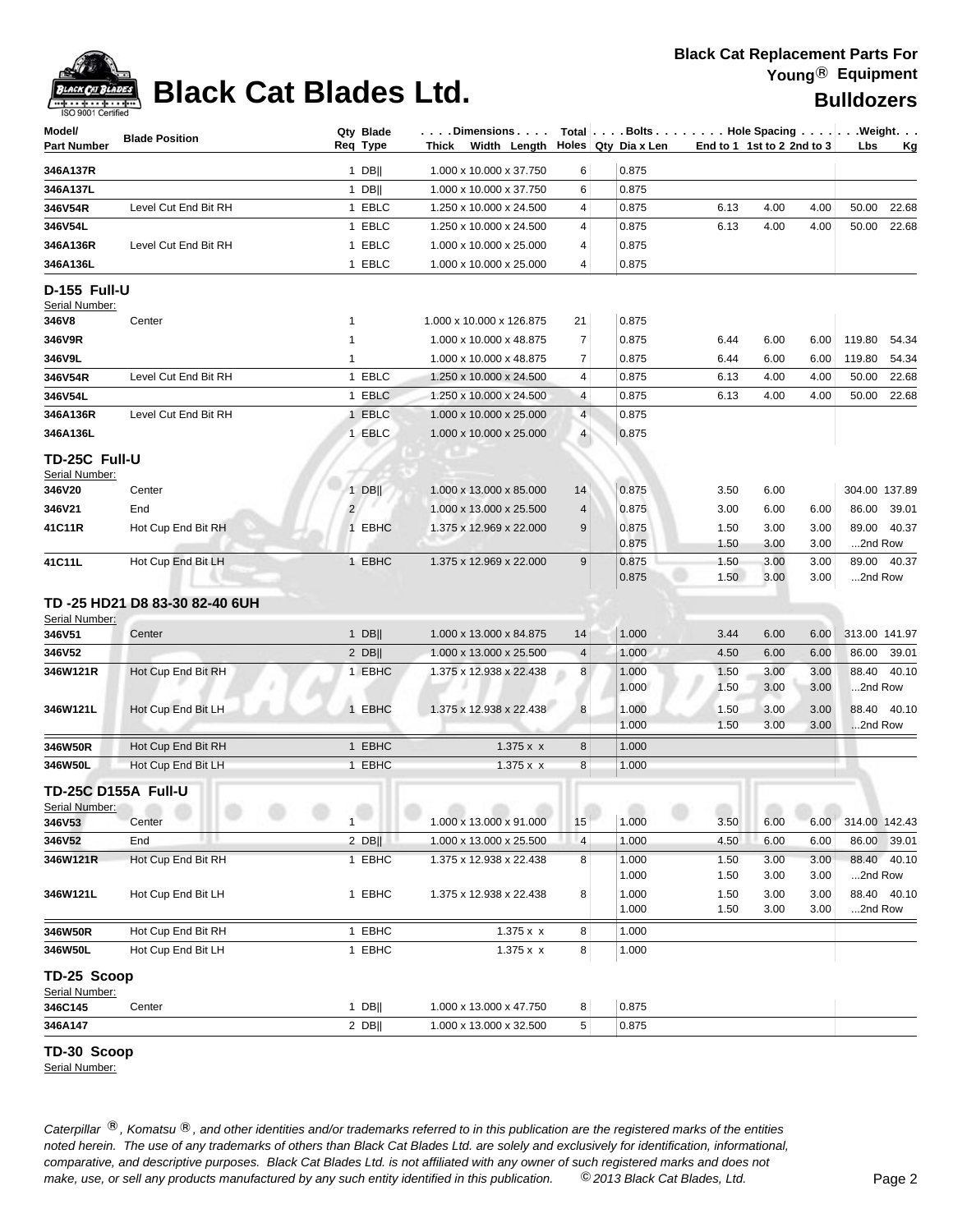### **Black Cat Replacement Parts For Young**® **Equipment**



# **Black Cat Blades Ltd. Black Cat Blades Ltd. Black Cat Blades Ltd. Bulldozers**

| Model/                   | <b>Blade Position</b>         | Qty Blade<br>Req Type | . Dimensions<br>Thick    |                          | Total Bolts Hole Spacing Weight.<br>Holes Qty Dia x Len |      |                            |      |               |             |
|--------------------------|-------------------------------|-----------------------|--------------------------|--------------------------|---------------------------------------------------------|------|----------------------------|------|---------------|-------------|
| Part Number              |                               |                       | Width Length             |                          |                                                         |      | End to 1 1st to 2 2nd to 3 |      | Lbs           | Kg          |
| 346A137R                 |                               | 1 DB                  | 1.000 x 10.000 x 37.750  | 6                        | 0.875                                                   |      |                            |      |               |             |
| 346A137L                 |                               | $1$ DB                | 1.000 x 10.000 x 37.750  | 6                        | 0.875                                                   |      |                            |      |               |             |
| 346V54R                  | Level Cut End Bit RH          | 1 EBLC                | 1.250 x 10.000 x 24.500  | 4                        | 0.875                                                   | 6.13 | 4.00                       | 4.00 | 50.00         | 22.68       |
| 346V54L                  |                               | 1 EBLC                | 1.250 x 10.000 x 24.500  | 4                        | 0.875                                                   | 6.13 | 4.00                       | 4.00 | 50.00         | 22.68       |
| 346A136R                 | Level Cut End Bit RH          | 1 EBLC                | 1.000 x 10.000 x 25.000  | 4                        | 0.875                                                   |      |                            |      |               |             |
| 346A136L                 |                               | 1 EBLC                | 1.000 x 10.000 x 25.000  | 4                        | 0.875                                                   |      |                            |      |               |             |
| D-155 Full-U             |                               |                       |                          |                          |                                                         |      |                            |      |               |             |
| Serial Number:<br>346V8  | Center                        | 1                     | 1.000 x 10.000 x 126.875 | 21                       | 0.875                                                   |      |                            |      |               |             |
| 346V9R                   |                               | $\mathbf{1}$          | 1.000 x 10.000 x 48.875  | $\overline{7}$           | 0.875                                                   | 6.44 | 6.00                       | 6.00 | 119.80        | 54.34       |
| 346V9L                   |                               | $\mathbf{1}$          | 1.000 x 10.000 x 48.875  | $\overline{7}$           | 0.875                                                   | 6.44 | 6.00                       | 6.00 | 119.80        | 54.34       |
| 346V54R                  | Level Cut End Bit RH          | 1 EBLC                | 1.250 x 10.000 x 24.500  | 4                        | 0.875                                                   | 6.13 | 4.00                       | 4.00 | 50.00         | 22.68       |
| 346V54L                  |                               | 1 EBLC                | 1.250 x 10.000 x 24.500  | 4                        | 0.875                                                   | 6.13 | 4.00                       | 4.00 | 50.00         | 22.68       |
| 346A136R                 | Level Cut End Bit RH          | 1 EBLC                | 1.000 x 10.000 x 25.000  | $\overline{4}$           | 0.875                                                   |      |                            |      |               |             |
| 346A136L                 |                               | 1 EBLC                | 1.000 x 10.000 x 25.000  | $\overline{4}$           | 0.875                                                   |      |                            |      |               |             |
|                          |                               |                       |                          |                          |                                                         |      |                            |      |               |             |
| TD-25C Full-U            |                               |                       |                          |                          |                                                         |      |                            |      |               |             |
| Serial Number:<br>346V20 | Center                        | $1$ DB                | 1.000 x 13.000 x 85.000  | 14                       | 0.875                                                   | 3.50 | 6.00                       |      | 304.00 137.89 |             |
| 346V21                   | End                           | 2 <sup>1</sup>        | 1.000 x 13.000 x 25.500  | $\overline{4}$           | 0.875                                                   | 3.00 | 6.00                       | 6.00 |               | 86.00 39.01 |
| 41C11R                   | Hot Cup End Bit RH            | 1 EBHC                | 1.375 x 12.969 x 22.000  | 9                        | 0.875                                                   | 1.50 | 3.00                       | 3.00 |               | 89.00 40.37 |
|                          |                               |                       |                          |                          | 0.875                                                   | 1.50 | 3.00                       | 3.00 | 2nd Row       |             |
| 41C11L                   | Hot Cup End Bit LH            | 1 EBHC                | 1.375 x 12.969 x 22.000  | 9                        | 0.875                                                   | 1.50 | 3.00                       | 3.00 |               | 89.00 40.37 |
|                          |                               |                       |                          |                          | 0.875                                                   | 1.50 | 3.00                       | 3.00 | 2nd Row       |             |
|                          | TD-25 HD21 D8 83-30 82-40 6UH |                       |                          |                          |                                                         |      |                            |      |               |             |
| Serial Number:           |                               |                       |                          |                          |                                                         |      |                            |      |               |             |
| 346V51                   | Center                        | $1$ DB                | 1.000 x 13.000 x 84.875  | 14                       | 1.000                                                   | 3.44 | 6.00                       | 6.00 | 313.00 141.97 |             |
| 346V52                   |                               | $2$ DB                | 1.000 x 13.000 x 25.500  | $\overline{\mathcal{A}}$ | 1.000                                                   | 4.50 | 6.00                       | 6.00 |               | 86.00 39.01 |
| 346W121R                 | Hot Cup End Bit RH            | 1 EBHC                | 1.375 x 12.938 x 22.438  | 8                        | 1.000                                                   | 1.50 | 3.00                       | 3.00 |               | 88.40 40.10 |
|                          |                               |                       |                          |                          | 1.000                                                   | 1.50 | 3.00                       | 3.00 | 2nd Row       |             |
| 346W121L                 | Hot Cup End Bit LH            | 1 EBHC                | 1.375 x 12.938 x 22.438  | 8                        | 1.000                                                   | 1.50 | 3.00                       | 3.00 |               | 88.40 40.10 |
|                          |                               |                       |                          |                          | 1.000                                                   | 1.50 | 3.00                       | 3.00 | 2nd Row       |             |
| 346W50R                  | Hot Cup End Bit RH            | 1 EBHC                | 1.375 x x                | 8                        | 1.000                                                   |      |                            |      |               |             |
| 346W50L                  | Hot Cup End Bit LH            | 1 EBHC                | 1.375 x x                | 8                        | 1.000                                                   |      |                            |      |               |             |
| TD-25C D155A Full-U      |                               |                       |                          |                          |                                                         |      |                            |      |               |             |
| Serial Number:           |                               |                       |                          |                          |                                                         |      |                            |      |               |             |
| 346V53                   | Center                        | 1                     | 1.000 x 13.000 x 91.000  | <b>CONTRACTOR</b><br>15  | 1.000                                                   | 3.50 | 6.00                       | 6.00 | 314.00 142.43 |             |
| 346V52                   | End                           | $2$ DB                | 1.000 x 13.000 x 25.500  | $\overline{4}$           | 1.000                                                   | 4.50 | 6.00                       | 6.00 |               | 86.00 39.01 |
| 346W121R                 | Hot Cup End Bit RH            | 1 EBHC                | 1.375 x 12.938 x 22.438  | 8                        | 1.000                                                   | 1.50 | 3.00                       | 3.00 |               | 88.40 40.10 |
|                          |                               |                       |                          |                          | 1.000                                                   | 1.50 | 3.00                       | 3.00 | 2nd Row       |             |
| 346W121L                 | Hot Cup End Bit LH            | 1 EBHC                | 1.375 x 12.938 x 22.438  | 8                        | 1.000                                                   | 1.50 | 3.00                       | 3.00 |               | 88.40 40.10 |
|                          |                               |                       |                          |                          | 1.000                                                   | 1.50 | 3.00                       | 3.00 | 2nd Row       |             |
| 346W50R                  | Hot Cup End Bit RH            | 1 EBHC                | 1.375 x x                | 8                        | 1.000                                                   |      |                            |      |               |             |
| 346W50L                  | Hot Cup End Bit LH            | 1 EBHC                | 1.375 x x                | 8                        | 1.000                                                   |      |                            |      |               |             |
| TD-25 Scoop              |                               |                       |                          |                          |                                                         |      |                            |      |               |             |
| Serial Number:           |                               |                       |                          |                          |                                                         |      |                            |      |               |             |
| 346C145                  | Center                        | $1$ DB                | 1.000 x 13.000 x 47.750  | 8                        | 0.875                                                   |      |                            |      |               |             |
| 346A147                  |                               | $2$ DB                | 1.000 x 13.000 x 32.500  | 5                        | 0.875                                                   |      |                            |      |               |             |

### **TD-30 Scoop**

Serial Number: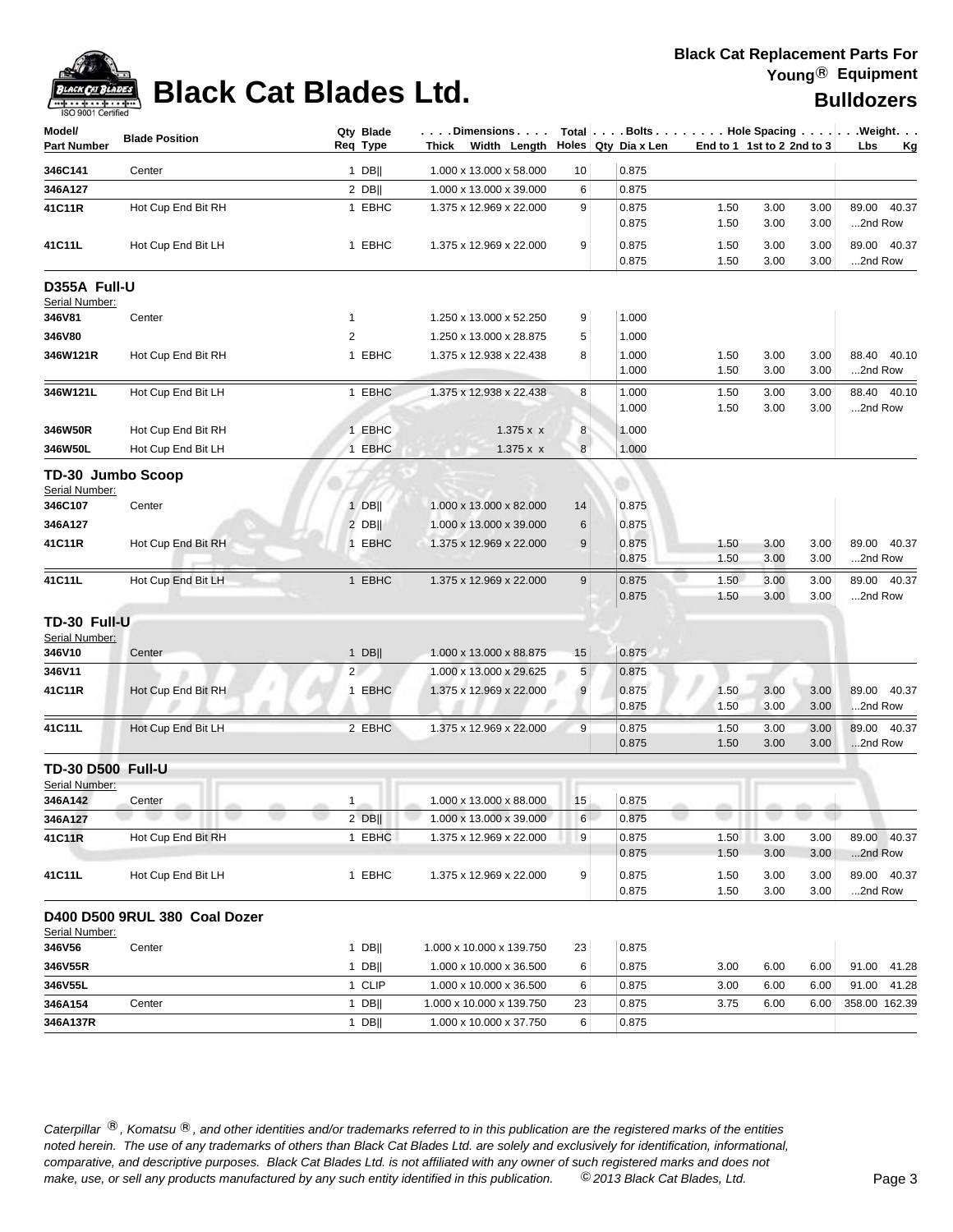

# **Black Cat Blades Ltd. Black Cat Blades Ltd. Black Cat Blades Ltd.**

| Model/<br><b>Part Number</b>        | <b>Blade Position</b>         | Qty Blade<br>Req Type |        | .Dimensions<br>Thick Width Length | Total   Bolts   Hole Spacing   Weight.<br>Holes Qty Dia x Len |  |                | End to 1 1st to 2 2nd to 3 |              | Lbs<br>Kg    |                           |
|-------------------------------------|-------------------------------|-----------------------|--------|-----------------------------------|---------------------------------------------------------------|--|----------------|----------------------------|--------------|--------------|---------------------------|
| 346C141                             | Center                        |                       | $1$ DB | 1.000 x 13.000 x 58.000           | 10                                                            |  | 0.875          |                            |              |              |                           |
| 346A127                             |                               |                       | $2$ DB | 1.000 x 13.000 x 39.000           | 6                                                             |  | 0.875          |                            |              |              |                           |
| 41C11R                              | Hot Cup End Bit RH            |                       | 1 EBHC | 1.375 x 12.969 x 22.000           | 9                                                             |  | 0.875          | 1.50                       | 3.00         | 3.00         | 89.00<br>40.37            |
|                                     |                               |                       |        |                                   |                                                               |  | 0.875          | 1.50                       | 3.00         | 3.00         | 2nd Row                   |
| 41C11L                              | Hot Cup End Bit LH            |                       | 1 EBHC | 1.375 x 12.969 x 22.000           | 9                                                             |  | 0.875          | 1.50                       | 3.00         | 3.00         | 89.00 40.37               |
|                                     |                               |                       |        |                                   |                                                               |  | 0.875          | 1.50                       | 3.00         | 3.00         | 2nd Row                   |
| D355A Full-U<br>Serial Number:      |                               |                       |        |                                   |                                                               |  |                |                            |              |              |                           |
| 346V81                              | Center                        | $\mathbf{1}$          |        | 1.250 x 13.000 x 52.250           | 9                                                             |  | 1.000          |                            |              |              |                           |
| 346V80                              |                               | $\overline{2}$        |        | 1.250 x 13.000 x 28.875           | 5                                                             |  | 1.000          |                            |              |              |                           |
| 346W121R                            | Hot Cup End Bit RH            |                       | 1 EBHC | 1.375 x 12.938 x 22.438           | 8                                                             |  | 1.000<br>1.000 | 1.50<br>1.50               | 3.00<br>3.00 | 3.00<br>3.00 | 88.40<br>40.10<br>2nd Row |
| 346W121L                            | Hot Cup End Bit LH            |                       | 1 EBHC | 1.375 x 12.938 x 22.438           | 8                                                             |  | 1.000          | 1.50                       | 3.00         | 3.00         | 88.40 40.10               |
|                                     |                               |                       |        |                                   |                                                               |  | 1.000          | 1.50                       | 3.00         | 3.00         | 2nd Row                   |
| 346W50R                             | Hot Cup End Bit RH            |                       | 1 EBHC | 1.375 x x                         | 8                                                             |  | 1.000          |                            |              |              |                           |
| 346W50L                             | Hot Cup End Bit LH            |                       | 1 EBHC | 1.375 x x                         | 8                                                             |  | 1.000          |                            |              |              |                           |
|                                     |                               |                       |        |                                   |                                                               |  |                |                            |              |              |                           |
| TD-30 Jumbo Scoop<br>Serial Number: |                               |                       |        |                                   |                                                               |  |                |                            |              |              |                           |
| 346C107                             | Center                        |                       | $1$ DB | 1.000 x 13.000 x 82.000           | 14                                                            |  | 0.875          |                            |              |              |                           |
| 346A127                             |                               |                       | $2$ DB | 1.000 x 13.000 x 39.000           | 6                                                             |  | 0.875          |                            |              |              |                           |
| 41C11R                              | Hot Cup End Bit RH            |                       | 1 EBHC | 1.375 x 12.969 x 22.000           | 9                                                             |  | 0.875          | 1.50                       | 3.00         | 3.00         | 89.00<br>40.37            |
|                                     |                               |                       |        |                                   |                                                               |  | 0.875          | 1.50                       | 3.00         | 3.00         | 2nd Row                   |
| 41C11L                              | Hot Cup End Bit LH            |                       | 1 EBHC | 1.375 x 12.969 x 22.000           | 9                                                             |  | 0.875          | 1.50                       | 3.00         | 3.00         | 89.00<br>40.37            |
|                                     |                               |                       |        |                                   |                                                               |  | 0.875          | 1.50                       | 3.00         | 3.00         | 2nd Row                   |
| TD-30 Full-U                        |                               |                       |        |                                   |                                                               |  |                |                            |              |              |                           |
| Serial Number:                      |                               |                       |        |                                   |                                                               |  |                |                            |              |              |                           |
| 346V10                              | Center                        |                       | $1$ DB | 1.000 x 13.000 x 88.875           | 15                                                            |  | 0.875          |                            |              |              |                           |
| 346V11                              |                               | $2^{\circ}$           |        | 1.000 x 13.000 x 29.625           | 5                                                             |  | 0.875          |                            |              |              |                           |
| 41C11R                              | Hot Cup End Bit RH            |                       | 1 EBHC | 1.375 x 12.969 x 22.000           | 9                                                             |  | 0.875          | 1.50                       | 3.00         | 3.00         | 89.00<br>40.37            |
|                                     |                               |                       |        |                                   |                                                               |  | 0.875          | 1.50                       | 3.00         | 3.00         | 2nd Row                   |
| 41C11L                              | Hot Cup End Bit LH            |                       | 2 EBHC | 1.375 x 12.969 x 22.000           | 9                                                             |  | 0.875          | 1.50                       | 3.00         | 3.00         | 89.00<br>40.37            |
|                                     |                               |                       |        |                                   |                                                               |  | 0.875          | 1.50                       | 3.00         | 3.00         | 2nd Row                   |
| <b>TD-30 D500 Full-U</b>            |                               |                       |        |                                   |                                                               |  |                |                            |              |              |                           |
| Serial Number:<br>346A142           | Center                        | 1                     |        | 1.000 x 13.000 x 88.000           | 15                                                            |  | 0.875          |                            |              |              |                           |
| 346A127                             |                               |                       | $2$ DB | 1.000 x 13.000 x 39.000           | 6                                                             |  | 0.875          |                            |              |              |                           |
| 41C11R                              | Hot Cup End Bit RH            |                       | 1 EBHC | 1.375 x 12.969 x 22.000           | 9                                                             |  | 0.875          | 1.50                       | 3.00         | 3.00         | 89.00 40.37               |
|                                     |                               |                       |        |                                   |                                                               |  | 0.875          | 1.50                       | 3.00         | 3.00         | 2nd Row                   |
| 41C11L                              | Hot Cup End Bit LH            |                       | 1 EBHC | 1.375 x 12.969 x 22.000           | 9                                                             |  | 0.875          | 1.50                       | 3.00         | 3.00         | 89.00 40.37               |
|                                     |                               |                       |        |                                   |                                                               |  | 0.875          | 1.50                       | 3.00         | 3.00         | 2nd Row                   |
|                                     | D400 D500 9RUL 380 Coal Dozer |                       |        |                                   |                                                               |  |                |                            |              |              |                           |
| Serial Number:<br>346V56            | Center                        |                       | $1$ DB | 1.000 x 10.000 x 139.750          | 23                                                            |  | 0.875          |                            |              |              |                           |
| 346V55R                             |                               |                       | $1$ DB | 1.000 x 10.000 x 36.500           | 6                                                             |  | 0.875          | 3.00                       | 6.00         | 6.00         | 91.00<br>41.28            |
| 346V55L                             |                               |                       | 1 CLIP | 1.000 x 10.000 x 36.500           | 6                                                             |  | 0.875          | 3.00                       | 6.00         | 6.00         | 91.00<br>41.28            |
| 346A154                             | Center                        |                       | $1$ DB | 1.000 x 10.000 x 139.750          | 23                                                            |  | 0.875          | 3.75                       | 6.00         | 6.00         | 358.00 162.39             |
| 346A137R                            |                               |                       | $1$ DB | 1.000 x 10.000 x 37.750           | 6                                                             |  | 0.875          |                            |              |              |                           |
|                                     |                               |                       |        |                                   |                                                               |  |                |                            |              |              |                           |